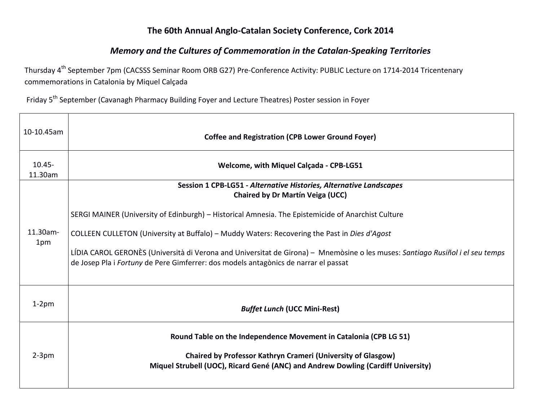## The 60th Annual Anglo-Catalan Society Conference, Cork 2014

## *Memory and the Cultures of Commemoration in the Catalan-Speaking Territories*

┑

Thursday 4<sup>th</sup> September 7pm (CACSSS Seminar Room ORB G27) Pre-Conference Activity: PUBLIC Lecture on 1714-2014 Tricentenary commemorations in Catalonia by Miquel Calçada

Friday 5<sup>th</sup> September (Cavanagh Pharmacy Building Foyer and Lecture Theatres) Poster session in Foyer

 $\overline{\phantom{a}}$ 

| 10-10.45am           | <b>Coffee and Registration (CPB Lower Ground Foyer)</b>                                                                                                                                                              |  |  |
|----------------------|----------------------------------------------------------------------------------------------------------------------------------------------------------------------------------------------------------------------|--|--|
| $10.45 -$<br>11.30am | Welcome, with Miquel Calcada - CPB-LG51                                                                                                                                                                              |  |  |
|                      | Session 1 CPB-LG51 - Alternative Histories, Alternative Landscapes<br><b>Chaired by Dr Martín Veiga (UCC)</b>                                                                                                        |  |  |
|                      | SERGI MAINER (University of Edinburgh) - Historical Amnesia. The Epistemicide of Anarchist Culture                                                                                                                   |  |  |
| 11.30am-<br>1pm      | COLLEEN CULLETON (University at Buffalo) - Muddy Waters: Recovering the Past in Dies d'Agost                                                                                                                         |  |  |
|                      | LÍDIA CAROL GERONÈS (Università di Verona and Universitat de Girona) - Mnemòsine o les muses: Santiago Rusiñol i el seu temps<br>de Josep Pla i Fortuny de Pere Gimferrer: dos models antagònics de narrar el passat |  |  |
| $1-2$ pm             | <b>Buffet Lunch (UCC Mini-Rest)</b>                                                                                                                                                                                  |  |  |
|                      | Round Table on the Independence Movement in Catalonia (CPB LG 51)                                                                                                                                                    |  |  |
| $2-3$ pm             | <b>Chaired by Professor Kathryn Crameri (University of Glasgow)</b><br>Miquel Strubell (UOC), Ricard Gené (ANC) and Andrew Dowling (Cardiff University)                                                              |  |  |
|                      |                                                                                                                                                                                                                      |  |  |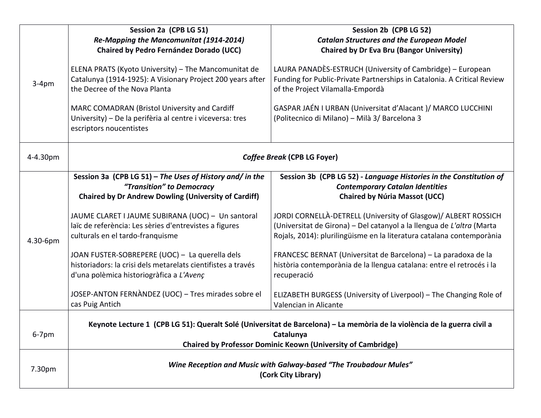|          | Session 2a (CPB LG 51)                                                                                                                                                                                                                                                                       | Session 2b (CPB LG 52)                                                                                                                                                                                                                                                                     |  |
|----------|----------------------------------------------------------------------------------------------------------------------------------------------------------------------------------------------------------------------------------------------------------------------------------------------|--------------------------------------------------------------------------------------------------------------------------------------------------------------------------------------------------------------------------------------------------------------------------------------------|--|
| $3-4pm$  | Re-Mapping the Mancomunitat (1914-2014)                                                                                                                                                                                                                                                      | <b>Catalan Structures and the European Model</b>                                                                                                                                                                                                                                           |  |
|          | Chaired by Pedro Fernández Dorado (UCC)                                                                                                                                                                                                                                                      | <b>Chaired by Dr Eva Bru (Bangor University)</b>                                                                                                                                                                                                                                           |  |
|          | ELENA PRATS (Kyoto University) - The Mancomunitat de<br>Catalunya (1914-1925): A Visionary Project 200 years after<br>the Decree of the Nova Planta<br>MARC COMADRAN (Bristol University and Cardiff<br>University) - De la perifèria al centre i viceversa: tres<br>escriptors noucentistes | LAURA PANADÈS-ESTRUCH (University of Cambridge) - European<br>Funding for Public-Private Partnerships in Catalonia. A Critical Review<br>of the Project Vilamalla-Empordà<br>GASPAR JAÉN I URBAN (Universitat d'Alacant) / MARCO LUCCHINI<br>(Politecnico di Milano) - Milà 3/ Barcelona 3 |  |
| 4-4.30pm | Coffee Break (CPB LG Foyer)                                                                                                                                                                                                                                                                  |                                                                                                                                                                                                                                                                                            |  |
|          | Session 3a (CPB LG 51) - The Uses of History and/ in the                                                                                                                                                                                                                                     | Session 3b (CPB LG 52) - Language Histories in the Constitution of                                                                                                                                                                                                                         |  |
|          | "Transition" to Democracy                                                                                                                                                                                                                                                                    | <b>Contemporary Catalan Identities</b>                                                                                                                                                                                                                                                     |  |
|          | <b>Chaired by Dr Andrew Dowling (University of Cardiff)</b>                                                                                                                                                                                                                                  | <b>Chaired by Núria Massot (UCC)</b>                                                                                                                                                                                                                                                       |  |
| 4.30-6pm | JAUME CLARET I JAUME SUBIRANA (UOC) - Un santoral<br>laïc de referència: Les sèries d'entrevistes a figures<br>culturals en el tardo-franquisme                                                                                                                                              | JORDI CORNELLÀ-DETRELL (University of Glasgow)/ ALBERT ROSSICH<br>(Universitat de Girona) – Del catanyol a la llengua de L'altra (Marta<br>Rojals, 2014): plurilingüisme en la literatura catalana contemporània                                                                           |  |
|          | JOAN FUSTER-SOBREPERE (UOC) - La querella dels                                                                                                                                                                                                                                               | FRANCESC BERNAT (Universitat de Barcelona) - La paradoxa de la                                                                                                                                                                                                                             |  |
|          | historiadors: la crisi dels metarelats cientifistes a través                                                                                                                                                                                                                                 | història contemporània de la llengua catalana: entre el retrocés i la                                                                                                                                                                                                                      |  |
|          | d'una polèmica historiogràfica a L'Avenç                                                                                                                                                                                                                                                     | recuperació                                                                                                                                                                                                                                                                                |  |
|          | JOSEP-ANTON FERNANDEZ (UOC) – Tres mirades sobre el<br>cas Puig Antich                                                                                                                                                                                                                       | ELIZABETH BURGESS (University of Liverpool) - The Changing Role of<br>Valencian in Alicante                                                                                                                                                                                                |  |
|          |                                                                                                                                                                                                                                                                                              |                                                                                                                                                                                                                                                                                            |  |
| $6-7$ pm | Keynote Lecture 1 (CPB LG 51): Queralt Solé (Universitat de Barcelona) - La memòria de la violència de la guerra civil a<br>Catalunya                                                                                                                                                        |                                                                                                                                                                                                                                                                                            |  |
|          | <b>Chaired by Professor Dominic Keown (University of Cambridge)</b>                                                                                                                                                                                                                          |                                                                                                                                                                                                                                                                                            |  |
|          |                                                                                                                                                                                                                                                                                              |                                                                                                                                                                                                                                                                                            |  |
| 7.30pm   | Wine Reception and Music with Galway-based "The Troubadour Mules"<br>(Cork City Library)                                                                                                                                                                                                     |                                                                                                                                                                                                                                                                                            |  |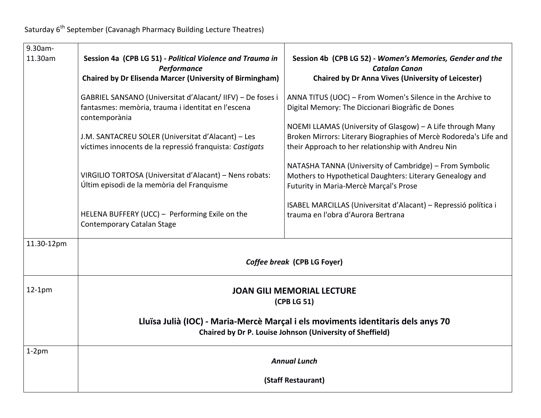Saturday 6<sup>th</sup> September (Cavanagh Pharmacy Building Lecture Theatres)

| $9.30$ am-<br>11.30am | Session 4a (CPB LG 51) - Political Violence and Trauma in<br>Performance<br><b>Chaired by Dr Elisenda Marcer (University of Birmingham)</b>                                                                                                                                                                                                                                                                                                  | Session 4b (CPB LG 52) - Women's Memories, Gender and the<br><b>Catalan Canon</b><br><b>Chaired by Dr Anna Vives (University of Leicester)</b>                                                                                                                                                                                                                                                                                                                                                                                                                                     |
|-----------------------|----------------------------------------------------------------------------------------------------------------------------------------------------------------------------------------------------------------------------------------------------------------------------------------------------------------------------------------------------------------------------------------------------------------------------------------------|------------------------------------------------------------------------------------------------------------------------------------------------------------------------------------------------------------------------------------------------------------------------------------------------------------------------------------------------------------------------------------------------------------------------------------------------------------------------------------------------------------------------------------------------------------------------------------|
|                       | GABRIEL SANSANO (Universitat d'Alacant/ IIFV) - De foses i<br>fantasmes: memòria, trauma i identitat en l'escena<br>contemporània<br>J.M. SANTACREU SOLER (Universitat d'Alacant) - Les<br>víctimes innocents de la repressió franquista: Castigats<br>VIRGILIO TORTOSA (Universitat d'Alacant) - Nens robats:<br>Últim episodi de la memòria del Franquisme<br>HELENA BUFFERY (UCC) - Performing Exile on the<br>Contemporary Catalan Stage | ANNA TITUS (UOC) - From Women's Silence in the Archive to<br>Digital Memory: The Diccionari Biogràfic de Dones<br>NOEMI LLAMAS (University of Glasgow) - A Life through Many<br>Broken Mirrors: Literary Biographies of Mercè Rodoreda's Life and<br>their Approach to her relationship with Andreu Nin<br>NATASHA TANNA (University of Cambridge) - From Symbolic<br>Mothers to Hypothetical Daughters: Literary Genealogy and<br>Futurity in Maria-Mercè Marçal's Prose<br>ISABEL MARCILLAS (Universitat d'Alacant) - Repressió política i<br>trauma en l'obra d'Aurora Bertrana |
| 11.30-12pm            | Coffee break (CPB LG Foyer)<br><b>JOAN GILI MEMORIAL LECTURE</b><br>(CPB LG 51)<br>Lluïsa Julià (IOC) - Maria-Mercè Marçal i els moviments identitaris dels anys 70<br>Chaired by Dr P. Louise Johnson (University of Sheffield)                                                                                                                                                                                                             |                                                                                                                                                                                                                                                                                                                                                                                                                                                                                                                                                                                    |
| $12-1pm$              |                                                                                                                                                                                                                                                                                                                                                                                                                                              |                                                                                                                                                                                                                                                                                                                                                                                                                                                                                                                                                                                    |
| $1-2$ pm              | <b>Annual Lunch</b><br>(Staff Restaurant)                                                                                                                                                                                                                                                                                                                                                                                                    |                                                                                                                                                                                                                                                                                                                                                                                                                                                                                                                                                                                    |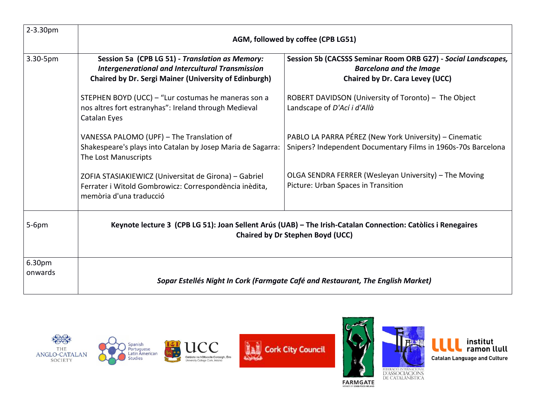| $2 - 3.30pm$      | AGM, followed by coffee (CPB LG51)                                                                                                                                         |                                                                                                                                    |  |
|-------------------|----------------------------------------------------------------------------------------------------------------------------------------------------------------------------|------------------------------------------------------------------------------------------------------------------------------------|--|
| 3.30-5pm          | Session 5a (CPB LG 51) - Translation as Memory:<br><b>Intergenerational and Intercultural Transmission</b><br><b>Chaired by Dr. Sergi Mainer (University of Edinburgh)</b> | Session 5b (CACSSS Seminar Room ORB G27) - Social Landscapes,<br><b>Barcelona and the Image</b><br>Chaired by Dr. Cara Levey (UCC) |  |
|                   | STEPHEN BOYD (UCC) - "Lur costumas he maneras son a<br>nos altres fort estranyhas": Ireland through Medieval<br>Catalan Eyes                                               | ROBERT DAVIDSON (University of Toronto) - The Object<br>Landscape of D'Ací i d'Allà                                                |  |
|                   | VANESSA PALOMO (UPF) - The Translation of<br>Shakespeare's plays into Catalan by Josep Maria de Sagarra:<br>The Lost Manuscripts                                           | PABLO LA PARRA PÉREZ (New York University) – Cinematic<br>Snipers? Independent Documentary Films in 1960s-70s Barcelona            |  |
|                   | ZOFIA STASIAKIEWICZ (Universitat de Girona) - Gabriel<br>Ferrater i Witold Gombrowicz: Correspondència inèdita,<br>memòria d'una traducció                                 | OLGA SENDRA FERRER (Wesleyan University) - The Moving<br>Picture: Urban Spaces in Transition                                       |  |
| $5-6$ pm          | Keynote lecture 3 (CPB LG 51): Joan Sellent Arús (UAB) - The Irish-Catalan Connection: Catòlics i Renegaires<br><b>Chaired by Dr Stephen Boyd (UCC)</b>                    |                                                                                                                                    |  |
| 6.30pm<br>onwards | Sopar Estellés Night In Cork (Farmgate Café and Restaurant, The English Market)                                                                                            |                                                                                                                                    |  |













FARMGATE